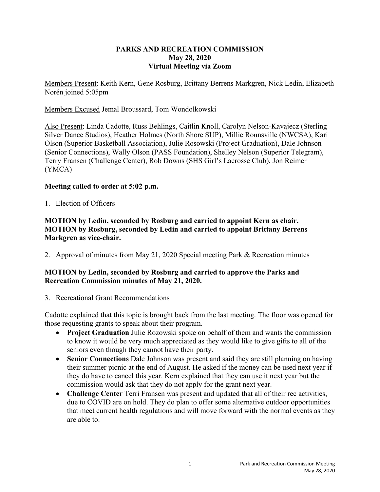## **PARKS AND RECREATION COMMISSION May 28, 2020 Virtual Meeting via Zoom**

Members Present: Keith Kern, Gene Rosburg, Brittany Berrens Markgren, Nick Ledin, Elizabeth Norén joined 5:05pm

Members Excused Jemal Broussard, Tom Wondolkowski

Also Present: Linda Cadotte, Russ Behlings, Caitlin Knoll, Carolyn Nelson-Kavajecz (Sterling Silver Dance Studios), Heather Holmes (North Shore SUP), Millie Rounsville (NWCSA), Kari Olson (Superior Basketball Association), Julie Rosowski (Project Graduation), Dale Johnson (Senior Connections), Wally Olson (PASS Foundation), Shelley Nelson (Superior Telegram), Terry Fransen (Challenge Center), Rob Downs (SHS Girl's Lacrosse Club), Jon Reimer (YMCA)

### **Meeting called to order at 5:02 p.m.**

1. Election of Officers

## **MOTION by Ledin, seconded by Rosburg and carried to appoint Kern as chair. MOTION by Rosburg, seconded by Ledin and carried to appoint Brittany Berrens Markgren as vice-chair.**

2. Approval of minutes from May 21, 2020 Special meeting Park & Recreation minutes

# **MOTION by Ledin, seconded by Rosburg and carried to approve the Parks and Recreation Commission minutes of May 21, 2020.**

3. Recreational Grant Recommendations

Cadotte explained that this topic is brought back from the last meeting. The floor was opened for those requesting grants to speak about their program.

- **Project Graduation** Julie Rozowski spoke on behalf of them and wants the commission to know it would be very much appreciated as they would like to give gifts to all of the seniors even though they cannot have their party.
- **Senior Connections** Dale Johnson was present and said they are still planning on having their summer picnic at the end of August. He asked if the money can be used next year if they do have to cancel this year. Kern explained that they can use it next year but the commission would ask that they do not apply for the grant next year.
- **Challenge Center** Terri Fransen was present and updated that all of their rec activities, due to COVID are on hold. They do plan to offer some alternative outdoor opportunities that meet current health regulations and will move forward with the normal events as they are able to.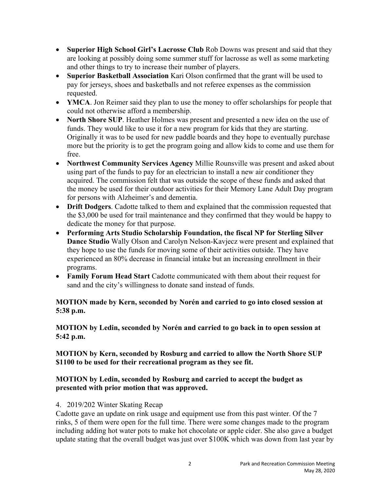- **Superior High School Girl's Lacrosse Club** Rob Downs was present and said that they are looking at possibly doing some summer stuff for lacrosse as well as some marketing and other things to try to increase their number of players.
- **Superior Basketball Association** Kari Olson confirmed that the grant will be used to pay for jerseys, shoes and basketballs and not referee expenses as the commission requested.
- YMCA. Jon Reimer said they plan to use the money to offer scholarships for people that could not otherwise afford a membership.
- **North Shore SUP**. Heather Holmes was present and presented a new idea on the use of funds. They would like to use it for a new program for kids that they are starting. Originally it was to be used for new paddle boards and they hope to eventually purchase more but the priority is to get the program going and allow kids to come and use them for free.
- **Northwest Community Services Agency** Millie Rounsville was present and asked about using part of the funds to pay for an electrician to install a new air conditioner they acquired. The commission felt that was outside the scope of these funds and asked that the money be used for their outdoor activities for their Memory Lane Adult Day program for persons with Alzheimer's and dementia.
- **Drift Dodgers**. Cadotte talked to them and explained that the commission requested that the \$3,000 be used for trail maintenance and they confirmed that they would be happy to dedicate the money for that purpose.
- **Performing Arts Studio Scholarship Foundation, the fiscal NP for Sterling Silver Dance Studio** Wally Olson and Carolyn Nelson-Kavjecz were present and explained that they hope to use the funds for moving some of their activities outside. They have experienced an 80% decrease in financial intake but an increasing enrollment in their programs.
- **Family Forum Head Start** Cadotte communicated with them about their request for sand and the city's willingness to donate sand instead of funds.

# **MOTION made by Kern, seconded by Norén and carried to go into closed session at 5:38 p.m.**

**MOTION by Ledin, seconded by Norén and carried to go back in to open session at 5:42 p.m.** 

**MOTION by Kern, seconded by Rosburg and carried to allow the North Shore SUP \$1100 to be used for their recreational program as they see fit.** 

# **MOTION by Ledin, seconded by Rosburg and carried to accept the budget as presented with prior motion that was approved.**

## 4. 2019/202 Winter Skating Recap

Cadotte gave an update on rink usage and equipment use from this past winter. Of the 7 rinks, 5 of them were open for the full time. There were some changes made to the program including adding hot water pots to make hot chocolate or apple cider. She also gave a budget update stating that the overall budget was just over \$100K which was down from last year by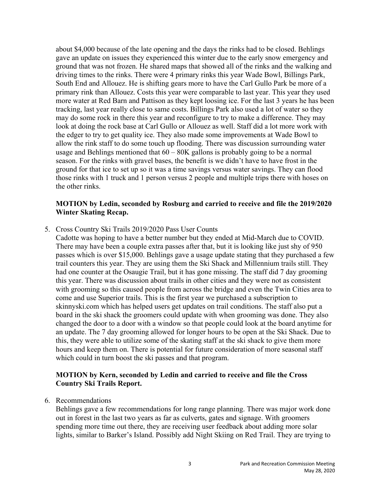about \$4,000 because of the late opening and the days the rinks had to be closed. Behlings gave an update on issues they experienced this winter due to the early snow emergency and ground that was not frozen. He shared maps that showed all of the rinks and the walking and driving times to the rinks. There were 4 primary rinks this year Wade Bowl, Billings Park, South End and Allouez. He is shifting gears more to have the Carl Gullo Park be more of a primary rink than Allouez. Costs this year were comparable to last year. This year they used more water at Red Barn and Pattison as they kept loosing ice. For the last 3 years he has been tracking, last year really close to same costs. Billings Park also used a lot of water so they may do some rock in there this year and reconfigure to try to make a difference. They may look at doing the rock base at Carl Gullo or Allouez as well. Staff did a lot more work with the edger to try to get quality ice. They also made some improvements at Wade Bowl to allow the rink staff to do some touch up flooding. There was discussion surrounding water usage and Behlings mentioned that  $60 - 80K$  gallons is probably going to be a normal season. For the rinks with gravel bases, the benefit is we didn't have to have frost in the ground for that ice to set up so it was a time savings versus water savings. They can flood those rinks with 1 truck and 1 person versus 2 people and multiple trips there with hoses on the other rinks.

## **MOTION by Ledin, seconded by Rosburg and carried to receive and file the 2019/2020 Winter Skating Recap.**

5. Cross Country Ski Trails 2019/2020 Pass User Counts

Cadotte was hoping to have a better number but they ended at Mid-March due to COVID. There may have been a couple extra passes after that, but it is looking like just shy of 950 passes which is over \$15,000. Behlings gave a usage update stating that they purchased a few trail counters this year. They are using them the Ski Shack and Millennium trails still. They had one counter at the Osaugie Trail, but it has gone missing. The staff did 7 day grooming this year. There was discussion about trails in other cities and they were not as consistent with grooming so this caused people from across the bridge and even the Twin Cities area to come and use Superior trails. This is the first year we purchased a subscription to skinnyski.com which has helped users get updates on trail conditions. The staff also put a board in the ski shack the groomers could update with when grooming was done. They also changed the door to a door with a window so that people could look at the board anytime for an update. The 7 day grooming allowed for longer hours to be open at the Ski Shack. Due to this, they were able to utilize some of the skating staff at the ski shack to give them more hours and keep them on. There is potential for future consideration of more seasonal staff which could in turn boost the ski passes and that program.

### **MOTION by Kern, seconded by Ledin and carried to receive and file the Cross Country Ski Trails Report.**

6. Recommendations

Behlings gave a few recommendations for long range planning. There was major work done out in forest in the last two years as far as culverts, gates and signage. With groomers spending more time out there, they are receiving user feedback about adding more solar lights, similar to Barker's Island. Possibly add Night Skiing on Red Trail. They are trying to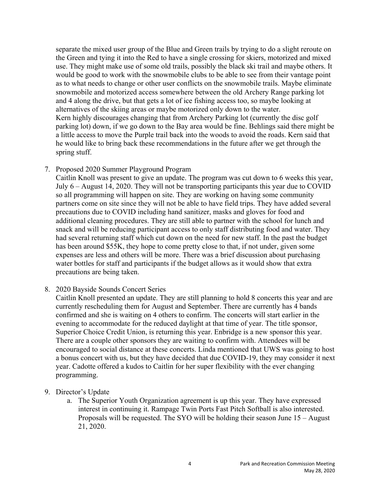separate the mixed user group of the Blue and Green trails by trying to do a slight reroute on the Green and tying it into the Red to have a single crossing for skiers, motorized and mixed use. They might make use of some old trails, possibly the black ski trail and maybe others. It would be good to work with the snowmobile clubs to be able to see from their vantage point as to what needs to change or other user conflicts on the snowmobile trails. Maybe eliminate snowmobile and motorized access somewhere between the old Archery Range parking lot and 4 along the drive, but that gets a lot of ice fishing access too, so maybe looking at alternatives of the skiing areas or maybe motorized only down to the water. Kern highly discourages changing that from Archery Parking lot (currently the disc golf parking lot) down, if we go down to the Bay area would be fine. Behlings said there might be a little access to move the Purple trail back into the woods to avoid the roads. Kern said that he would like to bring back these recommendations in the future after we get through the spring stuff.

7. Proposed 2020 Summer Playground Program

Caitlin Knoll was present to give an update. The program was cut down to 6 weeks this year, July 6 – August 14, 2020. They will not be transporting participants this year due to COVID so all programming will happen on site. They are working on having some community partners come on site since they will not be able to have field trips. They have added several precautions due to COVID including hand sanitizer, masks and gloves for food and additional cleaning procedures. They are still able to partner with the school for lunch and snack and will be reducing participant access to only staff distributing food and water. They had several returning staff which cut down on the need for new staff. In the past the budget has been around \$55K, they hope to come pretty close to that, if not under, given some expenses are less and others will be more. There was a brief discussion about purchasing water bottles for staff and participants if the budget allows as it would show that extra precautions are being taken.

8. 2020 Bayside Sounds Concert Series

Caitlin Knoll presented an update. They are still planning to hold 8 concerts this year and are currently rescheduling them for August and September. There are currently has 4 bands confirmed and she is waiting on 4 others to confirm. The concerts will start earlier in the evening to accommodate for the reduced daylight at that time of year. The title sponsor, Superior Choice Credit Union, is returning this year. Enbridge is a new sponsor this year. There are a couple other sponsors they are waiting to confirm with. Attendees will be encouraged to social distance at these concerts. Linda mentioned that UWS was going to host a bonus concert with us, but they have decided that due COVID-19, they may consider it next year. Cadotte offered a kudos to Caitlin for her super flexibility with the ever changing programming.

- 9. Director's Update
	- a. The Superior Youth Organization agreement is up this year. They have expressed interest in continuing it. Rampage Twin Ports Fast Pitch Softball is also interested. Proposals will be requested. The SYO will be holding their season June 15 – August 21, 2020.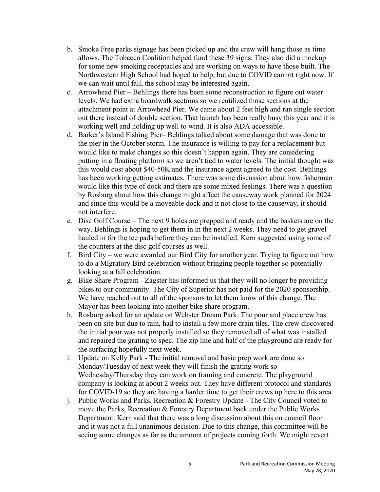- b. Smoke Free parks signage has been picked up and the crew will hang those as time allows. The Tobacco Coalition helped fund these 39 signs. They also did a mockup for some new smoking receptacles and are working on ways to have those built. The Northwestern High School had hoped to help, but due to COVID cannot right now. If we can wait until fall, the school may be interested again.
- c. Arrowhead Pier Behlings there has been some reconstruction to figure out water levels. We had extra boardwalk sections so we reutilized those sections at the attachment point at Arrowhead Pier. We came about 2 feet high and ran single section out there instead of double section. That launch has been really busy this year and it is working well and holding up well to wind. It is also ADA accessible.
- d. Barker's Island Fishing Pier– Behlings talked about some damage that was done to the pier in the October storm. The insurance is willing to pay for a replacement but would like to make changes so this doesn't happen again. They are considering putting in a floating platform so we aren't tied to water levels. The initial thought was this would cost about \$40-50K and the insurance agent agreed to the cost. Behlings has been working getting estimates. There was some discussion about how fisherman would like this type of dock and there are some mixed feelings. There was a question by Rosburg about how this change might affect the causeway work planned for 2024 and since this would be a moveable dock and it not close to the causeway, it should not interfere.
- e. Disc Golf Course The next 9 holes are prepped and ready and the baskets are on the way. Behlings is hoping to get them in in the next 2 weeks. They need to get gravel hauled in for the tee pads before they can be installed. Kern suggested using some of the counters at the disc golf courses as well.
- f. Bird City we were awarded our Bird City for another year. Trying to figure out how to do a Migratory Bird celebration without bringing people together so potentially looking at a fall celebration.
- g. Bike Share Program Zagster has informed us that they will no longer be providing bikes to our community. The City of Superior has not paid for the 2020 sponsorship. We have reached out to all of the sponsors to let them know of this change. The Mayor has been looking into another bike share program.
- h. Rosburg asked for an update on Webster Dream Park. The pour and place crew has been on site but due to rain, had to install a few more drain tiles. The crew discovered the initial pour was not properly installed so they removed all of what was installed and repaired the grating to spec. The zip line and half of the playground are ready for the surfacing hopefully next week.
- i. Update on Kelly Park The initial removal and basic prep work are done so Monday/Tuesday of next week they will finish the grating work so Wednesday/Thursday they can work on framing and concrete. The playground company is looking at about 2 weeks out. They have different protocol and standards for COVID-19 so they are having a harder time to get their crews up here to this area.
- j. Public Works and Parks, Recreation & Forestry Update The City Council voted to move the Parks, Recreation & Forestry Department back under the Public Works Department. Kern said that there was a long discussion about this on council floor and it was not a full unanimous decision. Due to this change, this committee will be seeing some changes as far as the amount of projects coming forth. We might revert